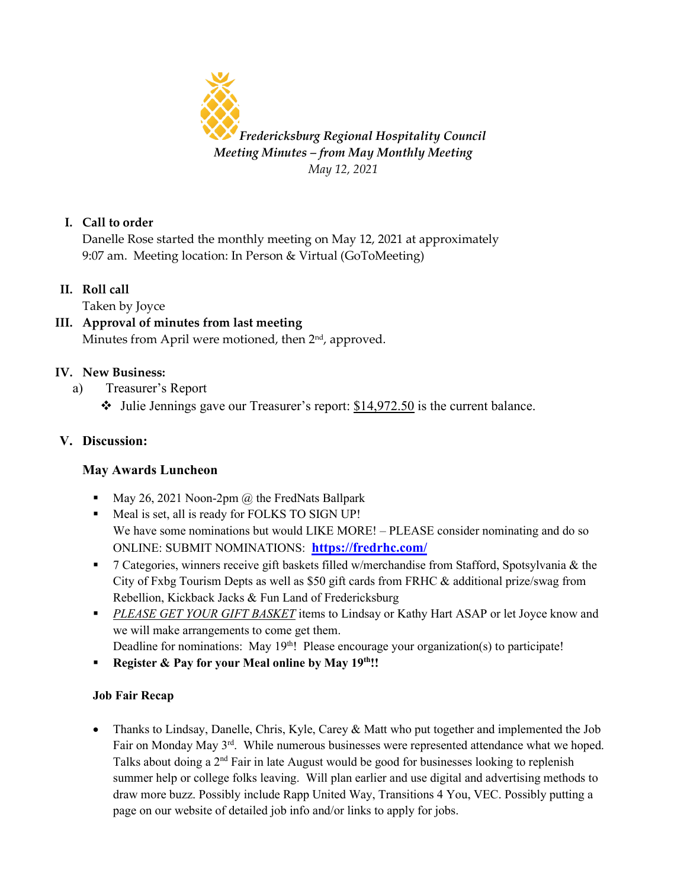

## **I. Call to order**

Danelle Rose started the monthly meeting on May 12, 2021 at approximately 9:07 am. Meeting location: In Person & Virtual (GoToMeeting)

**II. Roll call**

Taken by Joyce

#### **III. Approval of minutes from last meeting** Minutes from April were motioned, then  $2<sup>nd</sup>$ , approved.

# **IV. New Business:**

- a) Treasurer's Report
	- $\cdot$  Julie Jennings gave our Treasurer's report:  $$14,972.50$  is the current balance.

# **V. Discussion:**

## **May Awards Luncheon**

- May 26, 2021 Noon-2pm  $\omega$  the FredNats Ballpark
- Meal is set, all is ready for FOLKS TO SIGN UP! We have some nominations but would LIKE MORE! – PLEASE consider nominating and do so ONLINE: SUBMIT NOMINATIONS: **<https://fredrhc.com/>**
- 7 Categories, winners receive gift baskets filled w/merchandise from Stafford, Spotsylvania & the City of Fxbg Tourism Depts as well as \$50 gift cards from FRHC & additional prize/swag from Rebellion, Kickback Jacks & Fun Land of Fredericksburg
- **PLEASE GET YOUR GIFT BASKET** items to Lindsay or Kathy Hart ASAP or let Joyce know and we will make arrangements to come get them.
- Deadline for nominations: May 19<sup>th</sup>! Please encourage your organization(s) to participate!
- Register & Pay for your Meal online by May 19<sup>th</sup>!!

## **Job Fair Recap**

• Thanks to Lindsay, Danelle, Chris, Kyle, Carey & Matt who put together and implemented the Job Fair on Monday May 3<sup>rd</sup>. While numerous businesses were represented attendance what we hoped. Talks about doing a  $2<sup>nd</sup>$  Fair in late August would be good for businesses looking to replenish summer help or college folks leaving. Will plan earlier and use digital and advertising methods to draw more buzz. Possibly include Rapp United Way, Transitions 4 You, VEC. Possibly putting a page on our website of detailed job info and/or links to apply for jobs.